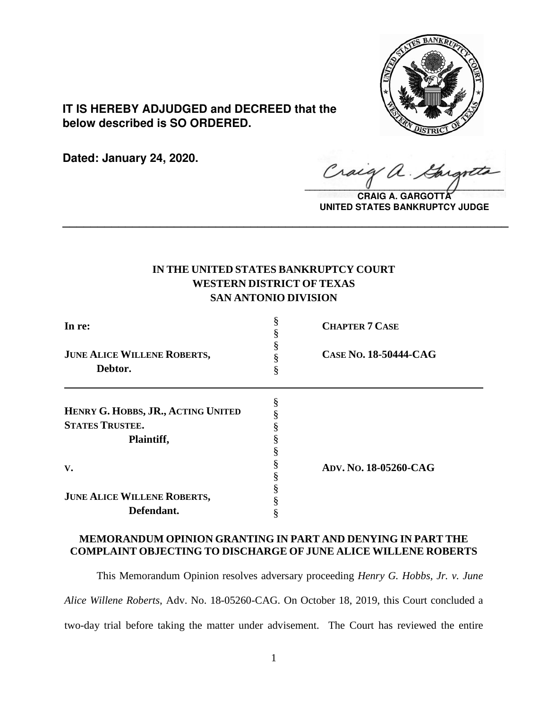

**IT IS HEREBY ADJUDGED and DECREED that the below described is SO ORDERED.**

**Dated: January 24, 2020.**

 $\sqrt{2}$ 

**CRAIG A. GARGOTTA UNITED STATES BANKRUPTCY JUDGE**

# **IN THE UNITED STATES BANKRUPTCY COURT WESTERN DISTRICT OF TEXAS SAN ANTONIO DIVISION**

**\_\_\_\_\_\_\_\_\_\_\_\_\_\_\_\_\_\_\_\_\_\_\_\_\_\_\_\_\_\_\_\_\_\_\_\_\_\_\_\_\_\_\_\_\_\_\_\_\_\_\_\_\_\_\_\_\_\_\_\_\_\_\_\_**

| In re:                                                                     |   | <b>CHAPTER 7 CASE</b> |
|----------------------------------------------------------------------------|---|-----------------------|
| <b>JUNE ALICE WILLENE ROBERTS,</b><br>Debtor.                              | 8 | CASE No. 18-50444-CAG |
| HENRY G. HOBBS, JR., ACTING UNITED<br><b>STATES TRUSTEE.</b><br>Plaintiff, |   |                       |
| V.                                                                         |   | ADV. No. 18-05260-CAG |
| <b>JUNE ALICE WILLENE ROBERTS,</b><br>Defendant.                           |   |                       |

## **MEMORANDUM OPINION GRANTING IN PART AND DENYING IN PART THE COMPLAINT OBJECTING TO DISCHARGE OF JUNE ALICE WILLENE ROBERTS**

This Memorandum Opinion resolves adversary proceeding *Henry G. Hobbs, Jr. v. June Alice Willene Roberts*, Adv. No. 18-05260-CAG. On October 18, 2019, this Court concluded a two-day trial before taking the matter under advisement. The Court has reviewed the entire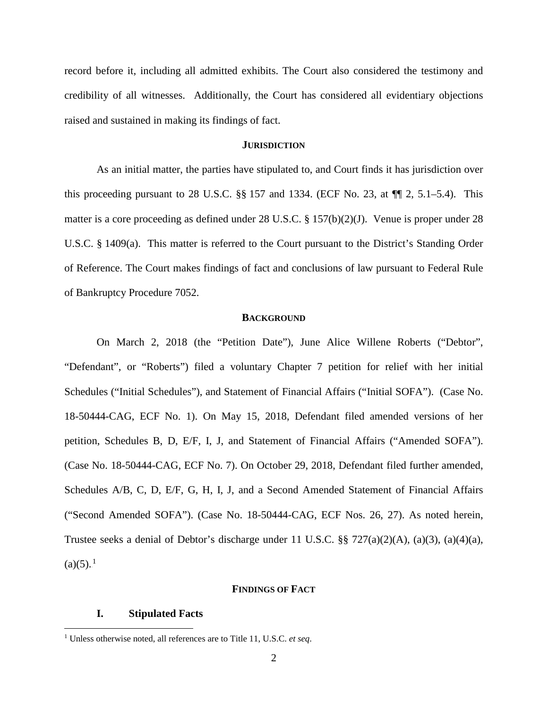record before it, including all admitted exhibits. The Court also considered the testimony and credibility of all witnesses. Additionally, the Court has considered all evidentiary objections raised and sustained in making its findings of fact.

### **JURISDICTION**

As an initial matter, the parties have stipulated to, and Court finds it has jurisdiction over this proceeding pursuant to 28 U.S.C.  $\S$  157 and 1334. (ECF No. 23, at  $\P$ [2, 5.1–5.4). This matter is a core proceeding as defined under 28 U.S.C. § 157(b)(2)(J). Venue is proper under 28 U.S.C. § 1409(a). This matter is referred to the Court pursuant to the District's Standing Order of Reference. The Court makes findings of fact and conclusions of law pursuant to Federal Rule of Bankruptcy Procedure 7052.

### **BACKGROUND**

On March 2, 2018 (the "Petition Date"), June Alice Willene Roberts ("Debtor", "Defendant", or "Roberts") filed a voluntary Chapter 7 petition for relief with her initial Schedules ("Initial Schedules"), and Statement of Financial Affairs ("Initial SOFA"). (Case No. 18-50444-CAG, ECF No. 1). On May 15, 2018, Defendant filed amended versions of her petition, Schedules B, D, E/F, I, J, and Statement of Financial Affairs ("Amended SOFA"). (Case No. 18-50444-CAG, ECF No. 7). On October 29, 2018, Defendant filed further amended, Schedules A/B, C, D, E/F, G, H, I, J, and a Second Amended Statement of Financial Affairs ("Second Amended SOFA"). (Case No. 18-50444-CAG, ECF Nos. 26, 27). As noted herein, Trustee seeks a denial of Debtor's discharge under 11 U.S.C. §§ 727(a)(2)(A), (a)(3), (a)(4)(a),  $(a)(5).<sup>1</sup>$ 

### **FINDINGS OF FACT**

### **I. Stipulated Facts**

<sup>1</sup> Unless otherwise noted, all references are to Title 11, U.S.C. *et seq*.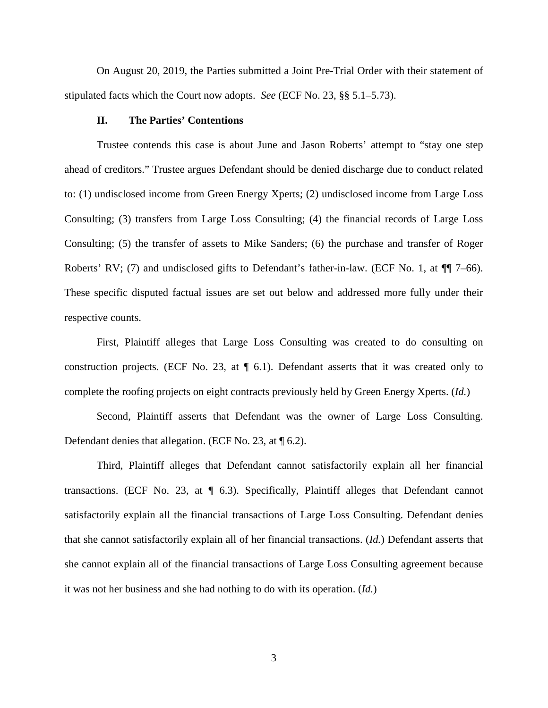On August 20, 2019, the Parties submitted a Joint Pre-Trial Order with their statement of stipulated facts which the Court now adopts. *See* (ECF No. 23, §§ 5.1–5.73).

### **II. The Parties' Contentions**

Trustee contends this case is about June and Jason Roberts' attempt to "stay one step ahead of creditors." Trustee argues Defendant should be denied discharge due to conduct related to: (1) undisclosed income from Green Energy Xperts; (2) undisclosed income from Large Loss Consulting; (3) transfers from Large Loss Consulting; (4) the financial records of Large Loss Consulting; (5) the transfer of assets to Mike Sanders; (6) the purchase and transfer of Roger Roberts' RV; (7) and undisclosed gifts to Defendant's father-in-law. (ECF No. 1, at  $\P$ ] 7–66). These specific disputed factual issues are set out below and addressed more fully under their respective counts.

First, Plaintiff alleges that Large Loss Consulting was created to do consulting on construction projects. (ECF No. 23, at  $\P$  6.1). Defendant asserts that it was created only to complete the roofing projects on eight contracts previously held by Green Energy Xperts. (*Id.*)

Second, Plaintiff asserts that Defendant was the owner of Large Loss Consulting. Defendant denies that allegation. (ECF No. 23, at  $\P$  6.2).

Third, Plaintiff alleges that Defendant cannot satisfactorily explain all her financial transactions. (ECF No. 23, at  $\P$  6.3). Specifically, Plaintiff alleges that Defendant cannot satisfactorily explain all the financial transactions of Large Loss Consulting. Defendant denies that she cannot satisfactorily explain all of her financial transactions. (*Id.*) Defendant asserts that she cannot explain all of the financial transactions of Large Loss Consulting agreement because it was not her business and she had nothing to do with its operation. (*Id.*)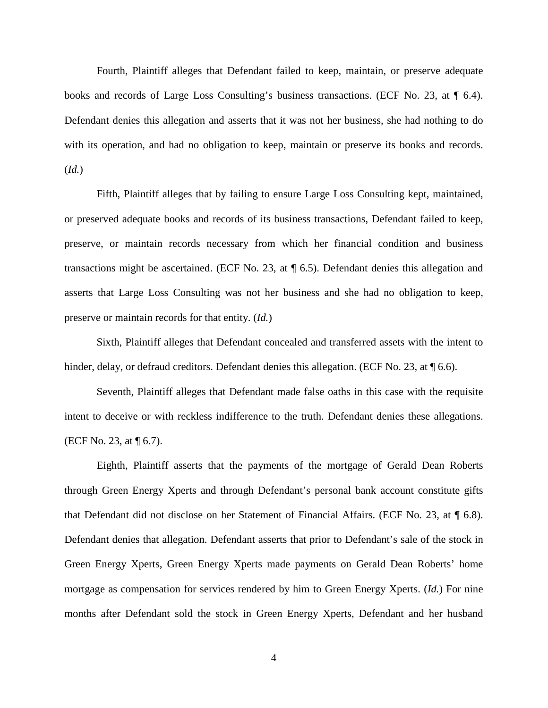Fourth, Plaintiff alleges that Defendant failed to keep, maintain, or preserve adequate books and records of Large Loss Consulting's business transactions. (ECF No. 23, at  $\P$  6.4). Defendant denies this allegation and asserts that it was not her business, she had nothing to do with its operation, and had no obligation to keep, maintain or preserve its books and records. (*Id.*)

Fifth, Plaintiff alleges that by failing to ensure Large Loss Consulting kept, maintained, or preserved adequate books and records of its business transactions, Defendant failed to keep, preserve, or maintain records necessary from which her financial condition and business transactions might be ascertained. (ECF No. 23, at ¶ 6.5). Defendant denies this allegation and asserts that Large Loss Consulting was not her business and she had no obligation to keep, preserve or maintain records for that entity. (*Id.*)

Sixth, Plaintiff alleges that Defendant concealed and transferred assets with the intent to hinder, delay, or defraud creditors. Defendant denies this allegation. (ECF No. 23, at  $\P$  6.6).

Seventh, Plaintiff alleges that Defendant made false oaths in this case with the requisite intent to deceive or with reckless indifference to the truth. Defendant denies these allegations. (ECF No. 23, at ¶ 6.7).

Eighth, Plaintiff asserts that the payments of the mortgage of Gerald Dean Roberts through Green Energy Xperts and through Defendant's personal bank account constitute gifts that Defendant did not disclose on her Statement of Financial Affairs. (ECF No. 23, at ¶ 6.8). Defendant denies that allegation. Defendant asserts that prior to Defendant's sale of the stock in Green Energy Xperts, Green Energy Xperts made payments on Gerald Dean Roberts' home mortgage as compensation for services rendered by him to Green Energy Xperts. (*Id.*) For nine months after Defendant sold the stock in Green Energy Xperts, Defendant and her husband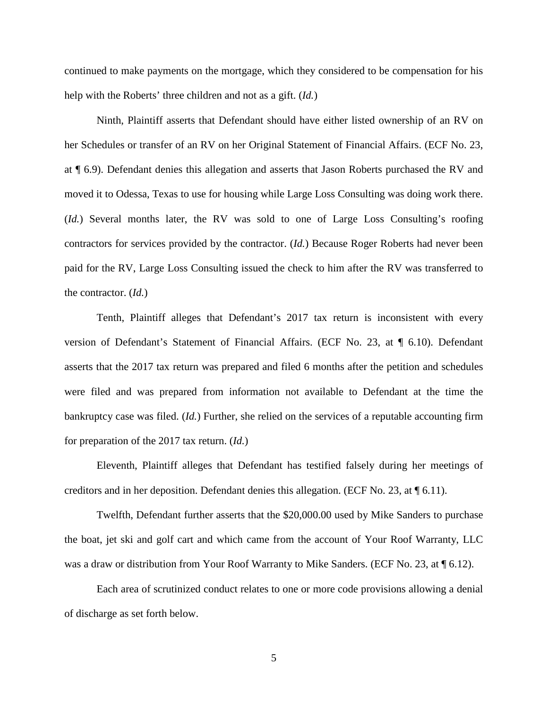continued to make payments on the mortgage, which they considered to be compensation for his help with the Roberts' three children and not as a gift. (*Id.*)

Ninth, Plaintiff asserts that Defendant should have either listed ownership of an RV on her Schedules or transfer of an RV on her Original Statement of Financial Affairs. (ECF No. 23, at ¶ 6.9). Defendant denies this allegation and asserts that Jason Roberts purchased the RV and moved it to Odessa, Texas to use for housing while Large Loss Consulting was doing work there. (*Id.*) Several months later, the RV was sold to one of Large Loss Consulting's roofing contractors for services provided by the contractor. (*Id.*) Because Roger Roberts had never been paid for the RV, Large Loss Consulting issued the check to him after the RV was transferred to the contractor. (*Id.*)

Tenth, Plaintiff alleges that Defendant's 2017 tax return is inconsistent with every version of Defendant's Statement of Financial Affairs. (ECF No. 23, at ¶ 6.10). Defendant asserts that the 2017 tax return was prepared and filed 6 months after the petition and schedules were filed and was prepared from information not available to Defendant at the time the bankruptcy case was filed. (*Id.*) Further, she relied on the services of a reputable accounting firm for preparation of the 2017 tax return. (*Id.*)

Eleventh, Plaintiff alleges that Defendant has testified falsely during her meetings of creditors and in her deposition. Defendant denies this allegation. (ECF No. 23, at  $\P$  6.11).

Twelfth, Defendant further asserts that the \$20,000.00 used by Mike Sanders to purchase the boat, jet ski and golf cart and which came from the account of Your Roof Warranty, LLC was a draw or distribution from Your Roof Warranty to Mike Sanders. (ECF No. 23, at  $\P$  6.12).

Each area of scrutinized conduct relates to one or more code provisions allowing a denial of discharge as set forth below.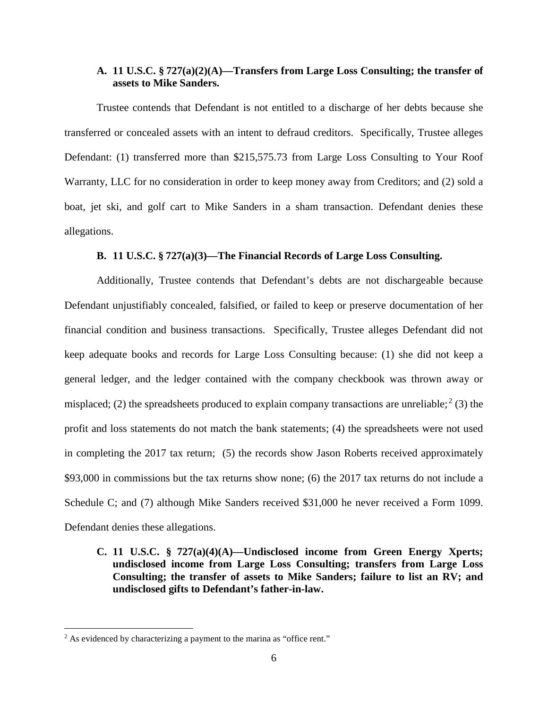### **A. 11 U.S.C. § 727(a)(2)(A)—Transfers from Large Loss Consulting; the transfer of assets to Mike Sanders.**

Trustee contends that Defendant is not entitled to a discharge of her debts because she transferred or concealed assets with an intent to defraud creditors. Specifically, Trustee alleges Defendant: (1) transferred more than \$215,575.73 from Large Loss Consulting to Your Roof Warranty, LLC for no consideration in order to keep money away from Creditors; and (2) sold a boat, jet ski, and golf cart to Mike Sanders in a sham transaction. Defendant denies these allegations.

### **B. 11 U.S.C. § 727(a)(3)—The Financial Records of Large Loss Consulting.**

Additionally, Trustee contends that Defendant's debts are not dischargeable because Defendant unjustifiably concealed, falsified, or failed to keep or preserve documentation of her financial condition and business transactions. Specifically, Trustee alleges Defendant did not keep adequate books and records for Large Loss Consulting because: (1) she did not keep a general ledger, and the ledger contained with the company checkbook was thrown away or misplaced; (2) the spreadsheets produced to explain company transactions are unreliable;<sup>2</sup> (3) the profit and loss statements do not match the bank statements; (4) the spreadsheets were not used in completing the 2017 tax return; (5) the records show Jason Roberts received approximately \$93,000 in commissions but the tax returns show none; (6) the 2017 tax returns do not include a Schedule C; and (7) although Mike Sanders received \$31,000 he never received a Form 1099. Defendant denies these allegations.

**C. 11 U.S.C. § 727(a)(4)(A)—Undisclosed income from Green Energy Xperts; undisclosed income from Large Loss Consulting; transfers from Large Loss Consulting; the transfer of assets to Mike Sanders; failure to list an RV; and undisclosed gifts to Defendant's father-in-law.**

<sup>&</sup>lt;sup>2</sup> As evidenced by characterizing a payment to the marina as "office rent."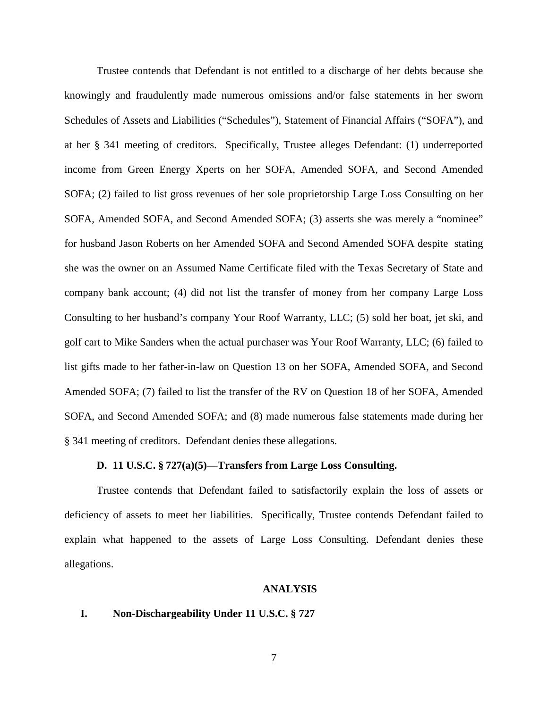Trustee contends that Defendant is not entitled to a discharge of her debts because she knowingly and fraudulently made numerous omissions and/or false statements in her sworn Schedules of Assets and Liabilities ("Schedules"), Statement of Financial Affairs ("SOFA"), and at her § 341 meeting of creditors. Specifically, Trustee alleges Defendant: (1) underreported income from Green Energy Xperts on her SOFA, Amended SOFA, and Second Amended SOFA; (2) failed to list gross revenues of her sole proprietorship Large Loss Consulting on her SOFA, Amended SOFA, and Second Amended SOFA; (3) asserts she was merely a "nominee" for husband Jason Roberts on her Amended SOFA and Second Amended SOFA despite stating she was the owner on an Assumed Name Certificate filed with the Texas Secretary of State and company bank account; (4) did not list the transfer of money from her company Large Loss Consulting to her husband's company Your Roof Warranty, LLC; (5) sold her boat, jet ski, and golf cart to Mike Sanders when the actual purchaser was Your Roof Warranty, LLC; (6) failed to list gifts made to her father-in-law on Question 13 on her SOFA, Amended SOFA, and Second Amended SOFA; (7) failed to list the transfer of the RV on Question 18 of her SOFA, Amended SOFA, and Second Amended SOFA; and (8) made numerous false statements made during her § 341 meeting of creditors. Defendant denies these allegations.

### **D. 11 U.S.C. § 727(a)(5)—Transfers from Large Loss Consulting.**

Trustee contends that Defendant failed to satisfactorily explain the loss of assets or deficiency of assets to meet her liabilities. Specifically, Trustee contends Defendant failed to explain what happened to the assets of Large Loss Consulting. Defendant denies these allegations.

### **ANALYSIS**

#### **I. Non-Dischargeability Under 11 U.S.C. § 727**

7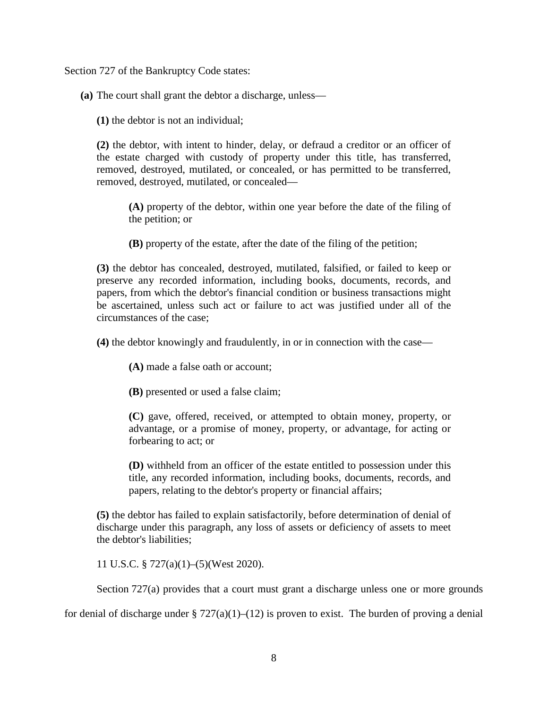Section 727 of the Bankruptcy Code states:

**(a)** The court shall grant the debtor a discharge, unless—

**(1)** the debtor is not an individual;

**(2)** the debtor, with intent to hinder, delay, or defraud a creditor or an officer of the estate charged with custody of property under this title, has transferred, removed, destroyed, mutilated, or concealed, or has permitted to be transferred, removed, destroyed, mutilated, or concealed—

**(A)** property of the debtor, within one year before the date of the filing of the petition; or

**(B)** property of the estate, after the date of the filing of the petition;

**(3)** the debtor has concealed, destroyed, mutilated, falsified, or failed to keep or preserve any recorded information, including books, documents, records, and papers, from which the debtor's financial condition or business transactions might be ascertained, unless such act or failure to act was justified under all of the circumstances of the case;

**(4)** the debtor knowingly and fraudulently, in or in connection with the case—

**(A)** made a false oath or account;

**(B)** presented or used a false claim;

**(C)** gave, offered, received, or attempted to obtain money, property, or advantage, or a promise of money, property, or advantage, for acting or forbearing to act; or

**(D)** withheld from an officer of the estate entitled to possession under this title, any recorded information, including books, documents, records, and papers, relating to the debtor's property or financial affairs;

**(5)** the debtor has failed to explain satisfactorily, before determination of denial of discharge under this paragraph, any loss of assets or deficiency of assets to meet the debtor's liabilities;

11 U.S.C. § 727(a)(1)–(5)(West 2020).

Section 727(a) provides that a court must grant a discharge unless one or more grounds

for denial of discharge under § 727(a)(1)–(12) is proven to exist. The burden of proving a denial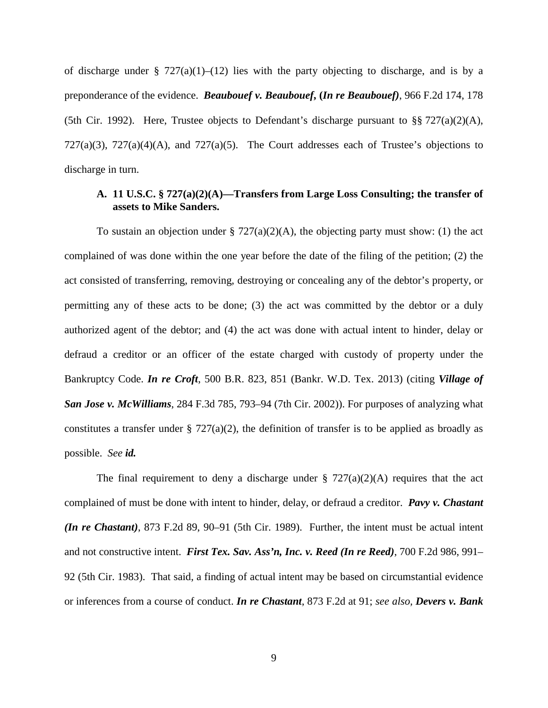of discharge under §  $727(a)(1)–(12)$  lies with the party objecting to discharge, and is by a preponderance of the evidence. *Beaubouef v. Beaubouef***, (***In re Beaubouef)*, 966 F.2d 174, 178 (5th Cir. 1992). Here, Trustee objects to Defendant's discharge pursuant to  $\S$ § 727(a)(2)(A),  $727(a)(3)$ ,  $727(a)(4)(A)$ , and  $727(a)(5)$ . The Court addresses each of Trustee's objections to discharge in turn.

# **A. 11 U.S.C. § 727(a)(2)(A)—Transfers from Large Loss Consulting; the transfer of assets to Mike Sanders.**

To sustain an objection under  $\S 727(a)(2)(A)$ , the objecting party must show: (1) the act complained of was done within the one year before the date of the filing of the petition; (2) the act consisted of transferring, removing, destroying or concealing any of the debtor's property, or permitting any of these acts to be done; (3) the act was committed by the debtor or a duly authorized agent of the debtor; and (4) the act was done with actual intent to hinder, delay or defraud a creditor or an officer of the estate charged with custody of property under the Bankruptcy Code. *In re Croft*, 500 B.R. 823, 851 (Bankr. W.D. Tex. 2013) (citing *Village of San Jose v. McWilliams*, 284 F.3d 785, 793–94 (7th Cir. 2002)). For purposes of analyzing what constitutes a transfer under §  $727(a)(2)$ , the definition of transfer is to be applied as broadly as possible. *See id.*

The final requirement to deny a discharge under  $\S 727(a)(2)(A)$  requires that the act complained of must be done with intent to hinder, delay, or defraud a creditor. *Pavy v. Chastant (In re Chastant)*, 873 F.2d 89, 90–91 (5th Cir. 1989). Further, the intent must be actual intent and not constructive intent. *First Tex. Sav. Ass'n, Inc. v. Reed (In re Reed)*, 700 F.2d 986, 991– 92 (5th Cir. 1983). That said, a finding of actual intent may be based on circumstantial evidence or inferences from a course of conduct. *In re Chastant*, 873 F.2d at 91; *see also, Devers v. Bank*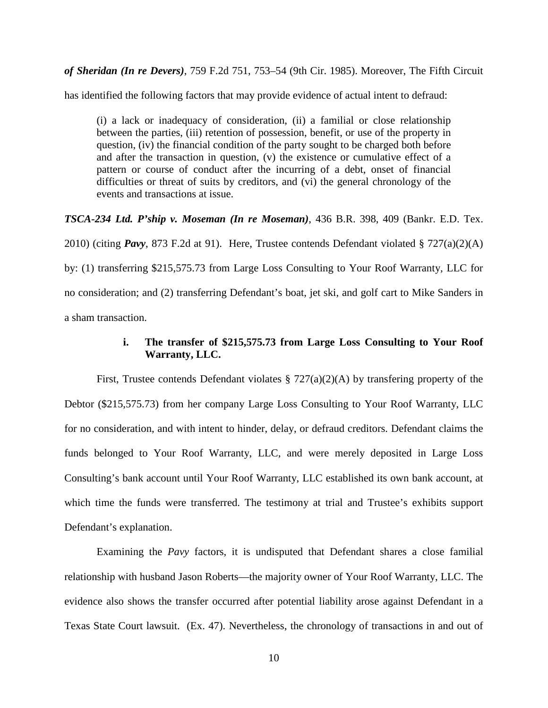*of Sheridan (In re Devers)*, 759 F.2d 751, 753–54 (9th Cir. 1985). Moreover, The Fifth Circuit

has identified the following factors that may provide evidence of actual intent to defraud:

(i) a lack or inadequacy of consideration, (ii) a familial or close relationship between the parties, (iii) retention of possession, benefit, or use of the property in question, (iv) the financial condition of the party sought to be charged both before and after the transaction in question, (v) the existence or cumulative effect of a pattern or course of conduct after the incurring of a debt, onset of financial difficulties or threat of suits by creditors, and (vi) the general chronology of the events and transactions at issue.

*TSCA-234 Ltd. P'ship v. Moseman (In re Moseman)*, 436 B.R. 398, 409 (Bankr. E.D. Tex. 2010) (citing *Pavy*, 873 F.2d at 91). Here, Trustee contends Defendant violated § 727(a)(2)(A) by: (1) transferring \$215,575.73 from Large Loss Consulting to Your Roof Warranty, LLC for no consideration; and (2) transferring Defendant's boat, jet ski, and golf cart to Mike Sanders in a sham transaction.

### **i. The transfer of \$215,575.73 from Large Loss Consulting to Your Roof Warranty, LLC.**

First, Trustee contends Defendant violates § 727(a)(2)(A) by transfering property of the Debtor (\$215,575.73) from her company Large Loss Consulting to Your Roof Warranty, LLC for no consideration, and with intent to hinder, delay, or defraud creditors. Defendant claims the funds belonged to Your Roof Warranty, LLC, and were merely deposited in Large Loss Consulting's bank account until Your Roof Warranty, LLC established its own bank account, at which time the funds were transferred. The testimony at trial and Trustee's exhibits support Defendant's explanation.

Examining the *Pavy* factors, it is undisputed that Defendant shares a close familial relationship with husband Jason Roberts—the majority owner of Your Roof Warranty, LLC. The evidence also shows the transfer occurred after potential liability arose against Defendant in a Texas State Court lawsuit. (Ex. 47). Nevertheless, the chronology of transactions in and out of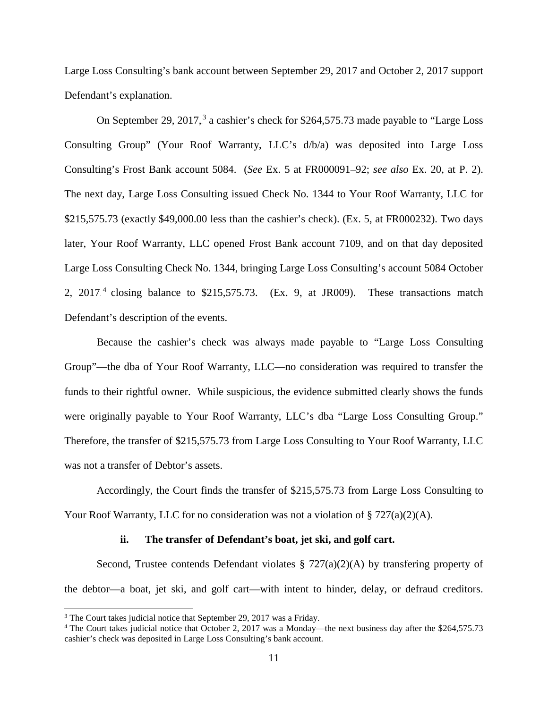Large Loss Consulting's bank account between September 29, 2017 and October 2, 2017 support Defendant's explanation.

On September 29, 2017,<sup>3</sup> a cashier's check for \$264,575.73 made payable to "Large Loss Consulting Group" (Your Roof Warranty, LLC's d/b/a) was deposited into Large Loss Consulting's Frost Bank account 5084. (*See* Ex. 5 at FR000091–92; *see also* Ex. 20, at P. 2). The next day, Large Loss Consulting issued Check No. 1344 to Your Roof Warranty, LLC for \$215,575.73 (exactly \$49,000.00 less than the cashier's check). (Ex. 5, at FR000232). Two days later, Your Roof Warranty, LLC opened Frost Bank account 7109, and on that day deposited Large Loss Consulting Check No. 1344, bringing Large Loss Consulting's account 5084 October 2,  $2017<sup>4</sup>$  closing balance to \$215,575.73. (Ex. 9, at JR009). These transactions match Defendant's description of the events.

Because the cashier's check was always made payable to "Large Loss Consulting Group"—the dba of Your Roof Warranty, LLC—no consideration was required to transfer the funds to their rightful owner. While suspicious, the evidence submitted clearly shows the funds were originally payable to Your Roof Warranty, LLC's dba "Large Loss Consulting Group." Therefore, the transfer of \$215,575.73 from Large Loss Consulting to Your Roof Warranty, LLC was not a transfer of Debtor's assets.

Accordingly, the Court finds the transfer of \$215,575.73 from Large Loss Consulting to Your Roof Warranty, LLC for no consideration was not a violation of  $\S 727(a)(2)(A)$ .

#### **ii. The transfer of Defendant's boat, jet ski, and golf cart.**

Second, Trustee contends Defendant violates  $\S 727(a)(2)(A)$  by transfering property of the debtor—a boat, jet ski, and golf cart—with intent to hinder, delay, or defraud creditors.

<sup>&</sup>lt;sup>3</sup> The Court takes judicial notice that September 29, 2017 was a Friday.

<sup>4</sup> The Court takes judicial notice that October 2, 2017 was a Monday—the next business day after the \$264,575.73 cashier's check was deposited in Large Loss Consulting's bank account.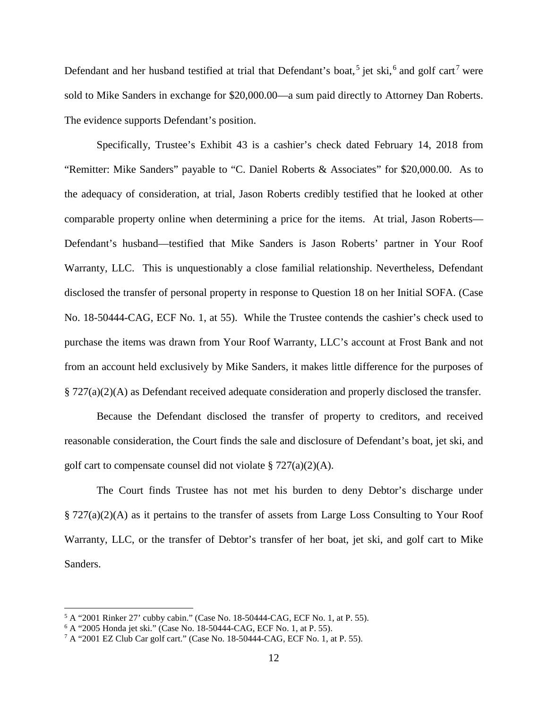Defendant and her husband testified at trial that Defendant's boat,<sup>5</sup> jet ski,<sup>6</sup> and golf cart<sup>7</sup> were sold to Mike Sanders in exchange for \$20,000.00—a sum paid directly to Attorney Dan Roberts. The evidence supports Defendant's position.

Specifically, Trustee's Exhibit 43 is a cashier's check dated February 14, 2018 from "Remitter: Mike Sanders" payable to "C. Daniel Roberts & Associates" for \$20,000.00. As to the adequacy of consideration, at trial, Jason Roberts credibly testified that he looked at other comparable property online when determining a price for the items. At trial, Jason Roberts— Defendant's husband—testified that Mike Sanders is Jason Roberts' partner in Your Roof Warranty, LLC. This is unquestionably a close familial relationship. Nevertheless, Defendant disclosed the transfer of personal property in response to Question 18 on her Initial SOFA. (Case No. 18-50444-CAG, ECF No. 1, at 55). While the Trustee contends the cashier's check used to purchase the items was drawn from Your Roof Warranty, LLC's account at Frost Bank and not from an account held exclusively by Mike Sanders, it makes little difference for the purposes of § 727(a)(2)(A) as Defendant received adequate consideration and properly disclosed the transfer.

Because the Defendant disclosed the transfer of property to creditors, and received reasonable consideration, the Court finds the sale and disclosure of Defendant's boat, jet ski, and golf cart to compensate counsel did not violate  $\S 727(a)(2)(A)$ .

The Court finds Trustee has not met his burden to deny Debtor's discharge under § 727(a)(2)(A) as it pertains to the transfer of assets from Large Loss Consulting to Your Roof Warranty, LLC, or the transfer of Debtor's transfer of her boat, jet ski, and golf cart to Mike Sanders.

<sup>5</sup> A "2001 Rinker 27' cubby cabin." (Case No. 18-50444-CAG, ECF No. 1, at P. 55).

<sup>6</sup> A "2005 Honda jet ski." (Case No. 18-50444-CAG, ECF No. 1, at P. 55).

<sup>7</sup> A "2001 EZ Club Car golf cart." (Case No. 18-50444-CAG, ECF No. 1, at P. 55).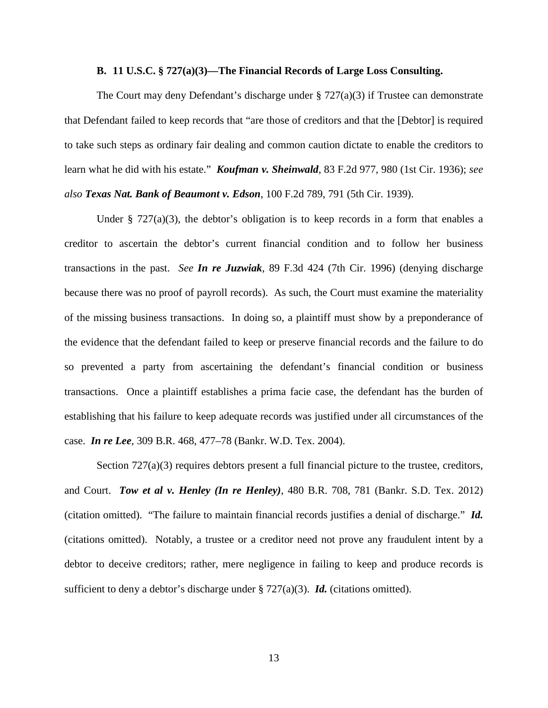### **B. 11 U.S.C. § 727(a)(3)—The Financial Records of Large Loss Consulting.**

The Court may deny Defendant's discharge under  $\S 727(a)(3)$  if Trustee can demonstrate that Defendant failed to keep records that "are those of creditors and that the [Debtor] is required to take such steps as ordinary fair dealing and common caution dictate to enable the creditors to learn what he did with his estate." *Koufman v. Sheinwald*, 83 F.2d 977, 980 (1st Cir. 1936); *see also Texas Nat. Bank of Beaumont v. Edson*, 100 F.2d 789, 791 (5th Cir. 1939).

Under § 727(a)(3), the debtor's obligation is to keep records in a form that enables a creditor to ascertain the debtor's current financial condition and to follow her business transactions in the past. *See In re Juzwiak*, 89 F.3d 424 (7th Cir. 1996) (denying discharge because there was no proof of payroll records). As such, the Court must examine the materiality of the missing business transactions. In doing so, a plaintiff must show by a preponderance of the evidence that the defendant failed to keep or preserve financial records and the failure to do so prevented a party from ascertaining the defendant's financial condition or business transactions. Once a plaintiff establishes a prima facie case, the defendant has the burden of establishing that his failure to keep adequate records was justified under all circumstances of the case. *In re Lee*, 309 B.R. 468, 477–78 (Bankr. W.D. Tex. 2004).

Section 727(a)(3) requires debtors present a full financial picture to the trustee, creditors, and Court. *Tow et al v. Henley (In re Henley)*, 480 B.R. 708, 781 (Bankr. S.D. Tex. 2012) (citation omitted). "The failure to maintain financial records justifies a denial of discharge." *Id.* (citations omitted). Notably, a trustee or a creditor need not prove any fraudulent intent by a debtor to deceive creditors; rather, mere negligence in failing to keep and produce records is sufficient to deny a debtor's discharge under § 727(a)(3). *Id.* (citations omitted).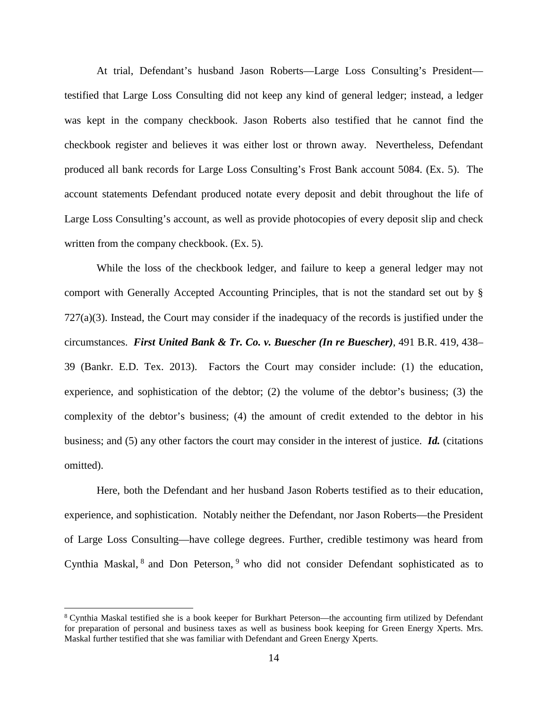At trial, Defendant's husband Jason Roberts—Large Loss Consulting's President testified that Large Loss Consulting did not keep any kind of general ledger; instead, a ledger was kept in the company checkbook. Jason Roberts also testified that he cannot find the checkbook register and believes it was either lost or thrown away. Nevertheless, Defendant produced all bank records for Large Loss Consulting's Frost Bank account 5084. (Ex. 5). The account statements Defendant produced notate every deposit and debit throughout the life of Large Loss Consulting's account, as well as provide photocopies of every deposit slip and check written from the company checkbook. (Ex. 5).

While the loss of the checkbook ledger, and failure to keep a general ledger may not comport with Generally Accepted Accounting Principles, that is not the standard set out by §  $727(a)(3)$ . Instead, the Court may consider if the inadequacy of the records is justified under the circumstances. *First United Bank & Tr. Co. v. Buescher (In re Buescher)*, 491 B.R. 419, 438– 39 (Bankr. E.D. Tex. 2013). Factors the Court may consider include: (1) the education, experience, and sophistication of the debtor; (2) the volume of the debtor's business; (3) the complexity of the debtor's business; (4) the amount of credit extended to the debtor in his business; and (5) any other factors the court may consider in the interest of justice. *Id.* (citations omitted).

Here, both the Defendant and her husband Jason Roberts testified as to their education, experience, and sophistication. Notably neither the Defendant, nor Jason Roberts—the President of Large Loss Consulting—have college degrees. Further, credible testimony was heard from Cynthia Maskal, <sup>8</sup> and Don Peterson, <sup>9</sup> who did not consider Defendant sophisticated as to

<sup>8</sup> Cynthia Maskal testified she is a book keeper for Burkhart Peterson—the accounting firm utilized by Defendant for preparation of personal and business taxes as well as business book keeping for Green Energy Xperts. Mrs. Maskal further testified that she was familiar with Defendant and Green Energy Xperts.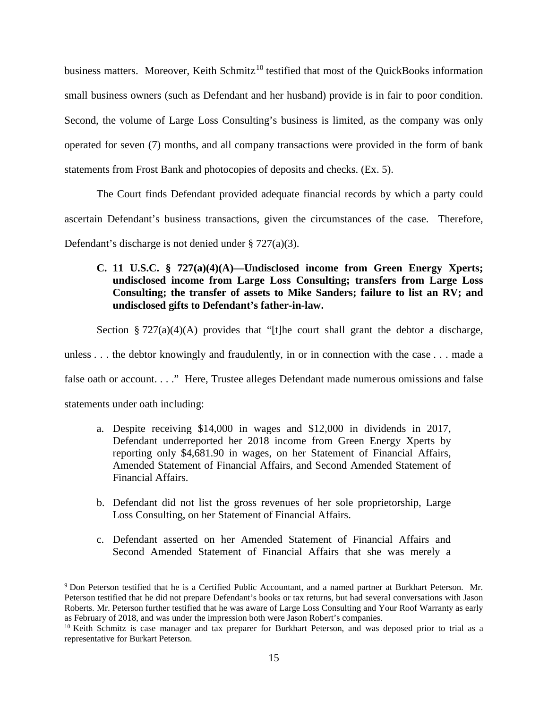business matters. Moreover, Keith Schmitz<sup>10</sup> testified that most of the QuickBooks information small business owners (such as Defendant and her husband) provide is in fair to poor condition. Second, the volume of Large Loss Consulting's business is limited, as the company was only operated for seven (7) months, and all company transactions were provided in the form of bank statements from Frost Bank and photocopies of deposits and checks. (Ex. 5).

The Court finds Defendant provided adequate financial records by which a party could ascertain Defendant's business transactions, given the circumstances of the case. Therefore, Defendant's discharge is not denied under § 727(a)(3).

# **C. 11 U.S.C. § 727(a)(4)(A)—Undisclosed income from Green Energy Xperts; undisclosed income from Large Loss Consulting; transfers from Large Loss Consulting; the transfer of assets to Mike Sanders; failure to list an RV; and undisclosed gifts to Defendant's father-in-law.**

Section § 727(a)(4)(A) provides that "[t]he court shall grant the debtor a discharge,

unless . . . the debtor knowingly and fraudulently, in or in connection with the case . . . made a

false oath or account. . . ." Here, Trustee alleges Defendant made numerous omissions and false

statements under oath including:

 $\overline{a}$ 

- a. Despite receiving \$14,000 in wages and \$12,000 in dividends in 2017, Defendant underreported her 2018 income from Green Energy Xperts by reporting only \$4,681.90 in wages, on her Statement of Financial Affairs, Amended Statement of Financial Affairs, and Second Amended Statement of Financial Affairs.
- b. Defendant did not list the gross revenues of her sole proprietorship, Large Loss Consulting, on her Statement of Financial Affairs.
- c. Defendant asserted on her Amended Statement of Financial Affairs and Second Amended Statement of Financial Affairs that she was merely a

<sup>9</sup> Don Peterson testified that he is a Certified Public Accountant, and a named partner at Burkhart Peterson. Mr. Peterson testified that he did not prepare Defendant's books or tax returns, but had several conversations with Jason Roberts. Mr. Peterson further testified that he was aware of Large Loss Consulting and Your Roof Warranty as early as February of 2018, and was under the impression both were Jason Robert's companies.

<sup>&</sup>lt;sup>10</sup> Keith Schmitz is case manager and tax preparer for Burkhart Peterson, and was deposed prior to trial as a representative for Burkart Peterson.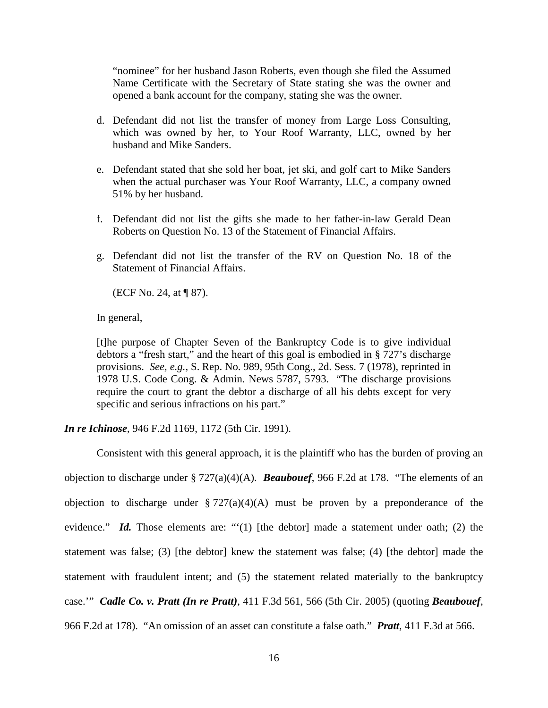"nominee" for her husband Jason Roberts, even though she filed the Assumed Name Certificate with the Secretary of State stating she was the owner and opened a bank account for the company, stating she was the owner.

- d. Defendant did not list the transfer of money from Large Loss Consulting, which was owned by her, to Your Roof Warranty, LLC, owned by her husband and Mike Sanders.
- e. Defendant stated that she sold her boat, jet ski, and golf cart to Mike Sanders when the actual purchaser was Your Roof Warranty, LLC, a company owned 51% by her husband.
- f. Defendant did not list the gifts she made to her father-in-law Gerald Dean Roberts on Question No. 13 of the Statement of Financial Affairs.
- g. Defendant did not list the transfer of the RV on Question No. 18 of the Statement of Financial Affairs.

(ECF No. 24, at ¶ 87).

In general,

[t]he purpose of Chapter Seven of the Bankruptcy Code is to give individual debtors a "fresh start," and the heart of this goal is embodied in § 727's discharge provisions. *See, e.g.,* S. Rep. No. 989, 95th Cong., 2d. Sess. 7 (1978), reprinted in 1978 U.S. Code Cong. & Admin. News 5787, 5793. "The discharge provisions require the court to grant the debtor a discharge of all his debts except for very specific and serious infractions on his part."

*In re Ichinose*, 946 F.2d 1169, 1172 (5th Cir. 1991).

Consistent with this general approach, it is the plaintiff who has the burden of proving an objection to discharge under § 727(a)(4)(A). *Beaubouef*, 966 F.2d at 178. "The elements of an objection to discharge under  $\S 727(a)(4)(A)$  must be proven by a preponderance of the evidence." *Id.* Those elements are: "'(1) [the debtor] made a statement under oath; (2) the statement was false; (3) [the debtor] knew the statement was false; (4) [the debtor] made the statement with fraudulent intent; and (5) the statement related materially to the bankruptcy case.'" *Cadle Co. v. Pratt (In re Pratt)*, 411 F.3d 561, 566 (5th Cir. 2005) (quoting *Beaubouef*, 966 F.2d at 178). "An omission of an asset can constitute a false oath." *Pratt*, 411 F.3d at 566.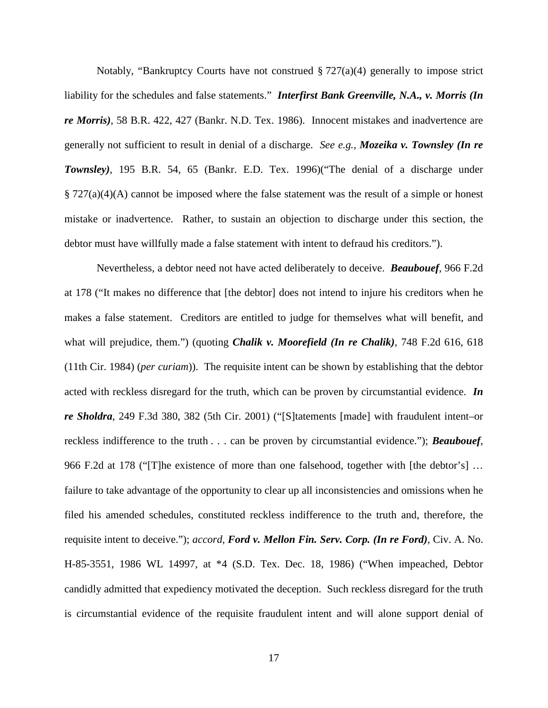Notably, "Bankruptcy Courts have not construed § 727(a)(4) generally to impose strict liability for the schedules and false statements." *Interfirst Bank Greenville, N.A., v. Morris (In re Morris)*, 58 B.R. 422, 427 (Bankr. N.D. Tex. 1986). Innocent mistakes and inadvertence are generally not sufficient to result in denial of a discharge. *See e.g., Mozeika v. Townsley (In re Townsley)*, 195 B.R. 54, 65 (Bankr. E.D. Tex. 1996)("The denial of a discharge under  $\S 727(a)(4)(A)$  cannot be imposed where the false statement was the result of a simple or honest mistake or inadvertence. Rather, to sustain an objection to discharge under this section, the debtor must have willfully made a false statement with intent to defraud his creditors.").

Nevertheless, a debtor need not have acted deliberately to deceive. *Beaubouef*, 966 F.2d at 178 ("It makes no difference that [the debtor] does not intend to injure his creditors when he makes a false statement. Creditors are entitled to judge for themselves what will benefit, and what will prejudice, them.") (quoting *Chalik v. Moorefield (In re Chalik)*, 748 F.2d 616, 618 (11th Cir. 1984) (*per curiam*)). The requisite intent can be shown by establishing that the debtor acted with reckless disregard for the truth, which can be proven by circumstantial evidence. *In re Sholdra*, 249 F.3d 380, 382 (5th Cir. 2001) ("[S]tatements [made] with fraudulent intent–or reckless indifference to the truth . . . can be proven by circumstantial evidence."); *Beaubouef*, 966 F.2d at 178 ("[T]he existence of more than one falsehood, together with [the debtor's] … failure to take advantage of the opportunity to clear up all inconsistencies and omissions when he filed his amended schedules, constituted reckless indifference to the truth and, therefore, the requisite intent to deceive."); *accord, Ford v. Mellon Fin. Serv. Corp. (In re Ford)*, Civ. A. No. H-85-3551, 1986 WL 14997, at \*4 (S.D. Tex. Dec. 18, 1986) ("When impeached, Debtor candidly admitted that expediency motivated the deception. Such reckless disregard for the truth is circumstantial evidence of the requisite fraudulent intent and will alone support denial of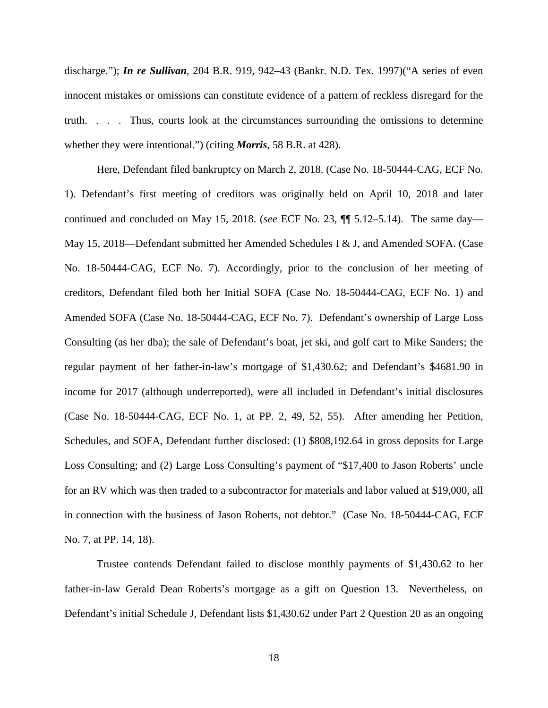discharge."); *In re Sullivan*, 204 B.R. 919, 942–43 (Bankr. N.D. Tex. 1997)("A series of even innocent mistakes or omissions can constitute evidence of a pattern of reckless disregard for the truth. . . . Thus, courts look at the circumstances surrounding the omissions to determine whether they were intentional.") (citing *Morris*, 58 B.R. at 428).

Here, Defendant filed bankruptcy on March 2, 2018. (Case No. 18-50444-CAG, ECF No. 1). Defendant's first meeting of creditors was originally held on April 10, 2018 and later continued and concluded on May 15, 2018. (*see* ECF No. 23, ¶¶ 5.12–5.14). The same day— May 15, 2018—Defendant submitted her Amended Schedules I & J, and Amended SOFA. (Case No. 18-50444-CAG, ECF No. 7). Accordingly, prior to the conclusion of her meeting of creditors, Defendant filed both her Initial SOFA (Case No. 18-50444-CAG, ECF No. 1) and Amended SOFA (Case No. 18-50444-CAG, ECF No. 7). Defendant's ownership of Large Loss Consulting (as her dba); the sale of Defendant's boat, jet ski, and golf cart to Mike Sanders; the regular payment of her father-in-law's mortgage of \$1,430.62; and Defendant's \$4681.90 in income for 2017 (although underreported), were all included in Defendant's initial disclosures (Case No. 18-50444-CAG, ECF No. 1, at PP. 2, 49, 52, 55). After amending her Petition, Schedules, and SOFA, Defendant further disclosed: (1) \$808,192.64 in gross deposits for Large Loss Consulting; and (2) Large Loss Consulting's payment of "\$17,400 to Jason Roberts' uncle for an RV which was then traded to a subcontractor for materials and labor valued at \$19,000, all in connection with the business of Jason Roberts, not debtor." (Case No. 18-50444-CAG, ECF No. 7, at PP. 14, 18).

Trustee contends Defendant failed to disclose monthly payments of \$1,430.62 to her father-in-law Gerald Dean Roberts's mortgage as a gift on Question 13. Nevertheless, on Defendant's initial Schedule J, Defendant lists \$1,430.62 under Part 2 Question 20 as an ongoing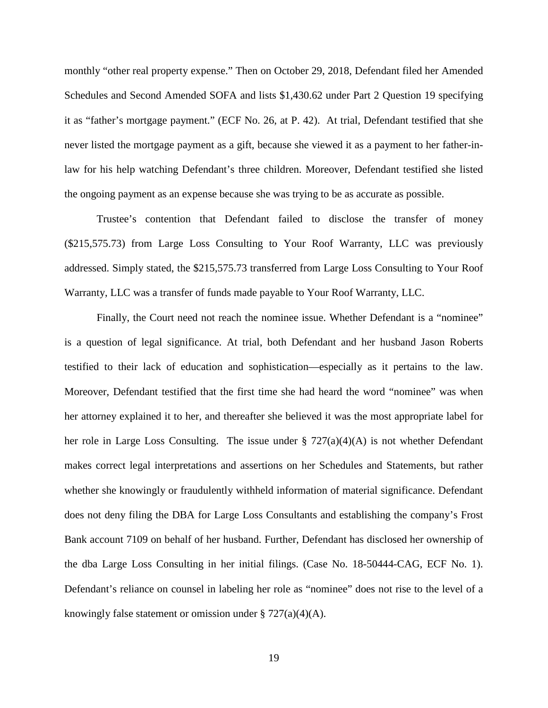monthly "other real property expense." Then on October 29, 2018, Defendant filed her Amended Schedules and Second Amended SOFA and lists \$1,430.62 under Part 2 Question 19 specifying it as "father's mortgage payment." (ECF No. 26, at P. 42). At trial, Defendant testified that she never listed the mortgage payment as a gift, because she viewed it as a payment to her father-inlaw for his help watching Defendant's three children. Moreover, Defendant testified she listed the ongoing payment as an expense because she was trying to be as accurate as possible.

Trustee's contention that Defendant failed to disclose the transfer of money (\$215,575.73) from Large Loss Consulting to Your Roof Warranty, LLC was previously addressed. Simply stated, the \$215,575.73 transferred from Large Loss Consulting to Your Roof Warranty, LLC was a transfer of funds made payable to Your Roof Warranty, LLC.

Finally, the Court need not reach the nominee issue. Whether Defendant is a "nominee" is a question of legal significance. At trial, both Defendant and her husband Jason Roberts testified to their lack of education and sophistication—especially as it pertains to the law. Moreover, Defendant testified that the first time she had heard the word "nominee" was when her attorney explained it to her, and thereafter she believed it was the most appropriate label for her role in Large Loss Consulting. The issue under  $\S 727(a)(4)(A)$  is not whether Defendant makes correct legal interpretations and assertions on her Schedules and Statements, but rather whether she knowingly or fraudulently withheld information of material significance. Defendant does not deny filing the DBA for Large Loss Consultants and establishing the company's Frost Bank account 7109 on behalf of her husband. Further, Defendant has disclosed her ownership of the dba Large Loss Consulting in her initial filings. (Case No. 18-50444-CAG, ECF No. 1). Defendant's reliance on counsel in labeling her role as "nominee" does not rise to the level of a knowingly false statement or omission under  $\S 727(a)(4)(A)$ .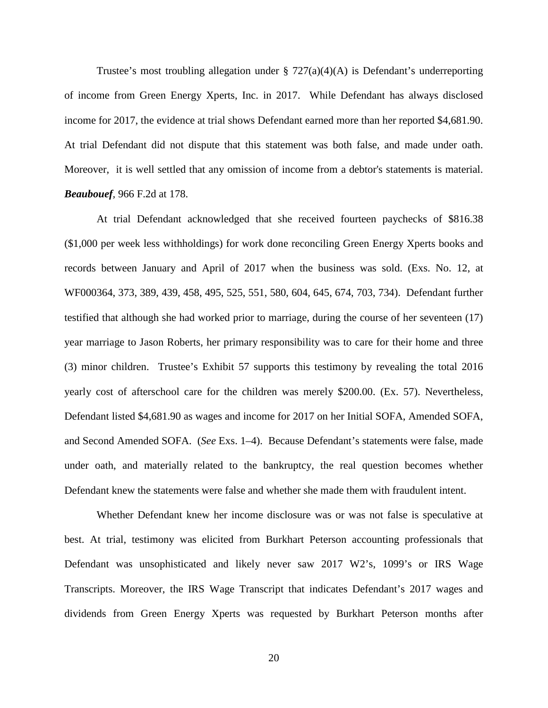Trustee's most troubling allegation under  $\S 727(a)(4)(A)$  is Defendant's underreporting of income from Green Energy Xperts, Inc. in 2017. While Defendant has always disclosed income for 2017, the evidence at trial shows Defendant earned more than her reported \$4,681.90. At trial Defendant did not dispute that this statement was both false, and made under oath. Moreover, it is well settled that any omission of income from a debtor's statements is material. *Beaubouef,* 966 F.2d at 178.

At trial Defendant acknowledged that she received fourteen paychecks of \$816.38 (\$1,000 per week less withholdings) for work done reconciling Green Energy Xperts books and records between January and April of 2017 when the business was sold. (Exs. No. 12, at WF000364, 373, 389, 439, 458, 495, 525, 551, 580, 604, 645, 674, 703, 734). Defendant further testified that although she had worked prior to marriage, during the course of her seventeen (17) year marriage to Jason Roberts, her primary responsibility was to care for their home and three (3) minor children. Trustee's Exhibit 57 supports this testimony by revealing the total 2016 yearly cost of afterschool care for the children was merely \$200.00. (Ex. 57). Nevertheless, Defendant listed \$4,681.90 as wages and income for 2017 on her Initial SOFA, Amended SOFA, and Second Amended SOFA. (*See* Exs. 1–4). Because Defendant's statements were false, made under oath, and materially related to the bankruptcy, the real question becomes whether Defendant knew the statements were false and whether she made them with fraudulent intent.

Whether Defendant knew her income disclosure was or was not false is speculative at best. At trial, testimony was elicited from Burkhart Peterson accounting professionals that Defendant was unsophisticated and likely never saw 2017 W2's, 1099's or IRS Wage Transcripts. Moreover, the IRS Wage Transcript that indicates Defendant's 2017 wages and dividends from Green Energy Xperts was requested by Burkhart Peterson months after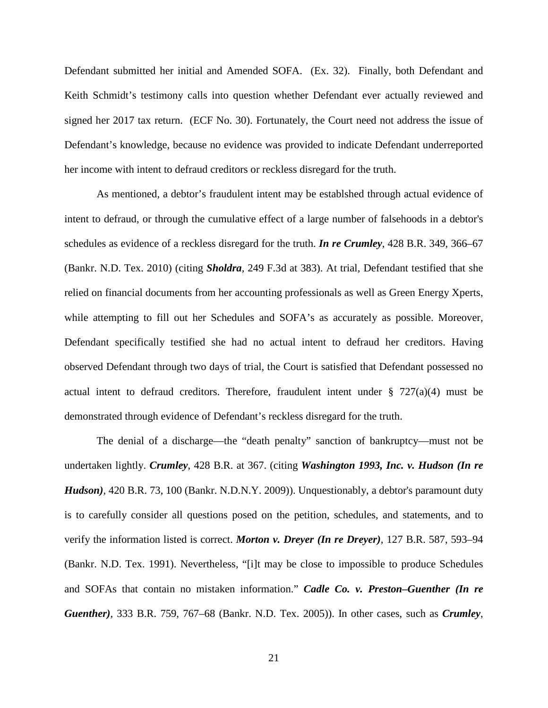Defendant submitted her initial and Amended SOFA. (Ex. 32). Finally, both Defendant and Keith Schmidt's testimony calls into question whether Defendant ever actually reviewed and signed her 2017 tax return. (ECF No. 30). Fortunately, the Court need not address the issue of Defendant's knowledge, because no evidence was provided to indicate Defendant underreported her income with intent to defraud creditors or reckless disregard for the truth.

As mentioned, a debtor's fraudulent intent may be establshed through actual evidence of intent to defraud, or through the cumulative effect of a large number of falsehoods in a debtor's schedules as evidence of a reckless disregard for the truth. *In re Crumley*, 428 B.R. 349, 366–67 (Bankr. N.D. Tex. 2010) (citing *Sholdra,* 249 F.3d at 383). At trial, Defendant testified that she relied on financial documents from her accounting professionals as well as Green Energy Xperts, while attempting to fill out her Schedules and SOFA's as accurately as possible. Moreover, Defendant specifically testified she had no actual intent to defraud her creditors. Having observed Defendant through two days of trial, the Court is satisfied that Defendant possessed no actual intent to defraud creditors. Therefore, fraudulent intent under  $\S$  727(a)(4) must be demonstrated through evidence of Defendant's reckless disregard for the truth.

The denial of a discharge—the "death penalty" sanction of bankruptcy—must not be undertaken lightly. *Crumley*, 428 B.R. at 367. (citing *Washington 1993, Inc. v. Hudson (In re Hudson),* 420 B.R. 73, 100 (Bankr. N.D.N.Y. 2009)). Unquestionably, a debtor's paramount duty is to carefully consider all questions posed on the petition, schedules, and statements, and to verify the information listed is correct. *Morton v. Dreyer (In re Dreyer),* 127 B.R. 587, 593–94 (Bankr. N.D. Tex. 1991). Nevertheless, "[i]t may be close to impossible to produce Schedules and SOFAs that contain no mistaken information." *Cadle Co. v. Preston–Guenther (In re Guenther),* 333 B.R. 759, 767–68 (Bankr. N.D. Tex. 2005)). In other cases, such as *Crumley*,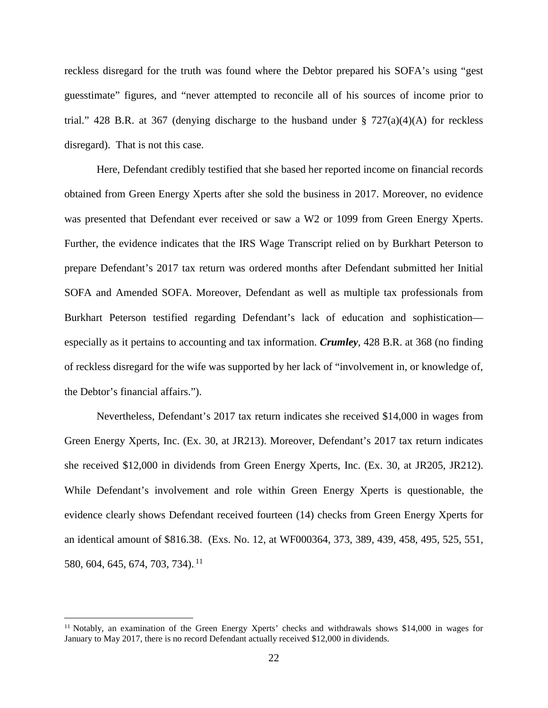reckless disregard for the truth was found where the Debtor prepared his SOFA's using "gest guesstimate" figures, and "never attempted to reconcile all of his sources of income prior to trial." 428 B.R. at 367 (denying discharge to the husband under  $\S$  727(a)(4)(A) for reckless disregard). That is not this case.

Here, Defendant credibly testified that she based her reported income on financial records obtained from Green Energy Xperts after she sold the business in 2017. Moreover, no evidence was presented that Defendant ever received or saw a W2 or 1099 from Green Energy Xperts. Further, the evidence indicates that the IRS Wage Transcript relied on by Burkhart Peterson to prepare Defendant's 2017 tax return was ordered months after Defendant submitted her Initial SOFA and Amended SOFA. Moreover, Defendant as well as multiple tax professionals from Burkhart Peterson testified regarding Defendant's lack of education and sophistication especially as it pertains to accounting and tax information. *Crumley*, 428 B.R. at 368 (no finding of reckless disregard for the wife was supported by her lack of "involvement in, or knowledge of, the Debtor's financial affairs.").

Nevertheless, Defendant's 2017 tax return indicates she received \$14,000 in wages from Green Energy Xperts, Inc. (Ex. 30, at JR213). Moreover, Defendant's 2017 tax return indicates she received \$12,000 in dividends from Green Energy Xperts, Inc. (Ex. 30, at JR205, JR212). While Defendant's involvement and role within Green Energy Xperts is questionable, the evidence clearly shows Defendant received fourteen (14) checks from Green Energy Xperts for an identical amount of \$816.38. (Exs. No. 12, at WF000364, 373, 389, 439, 458, 495, 525, 551, 580, 604, 645, 674, 703, 734).<sup>11</sup>

<sup>&</sup>lt;sup>11</sup> Notably, an examination of the Green Energy Xperts' checks and withdrawals shows \$14,000 in wages for January to May 2017, there is no record Defendant actually received \$12,000 in dividends.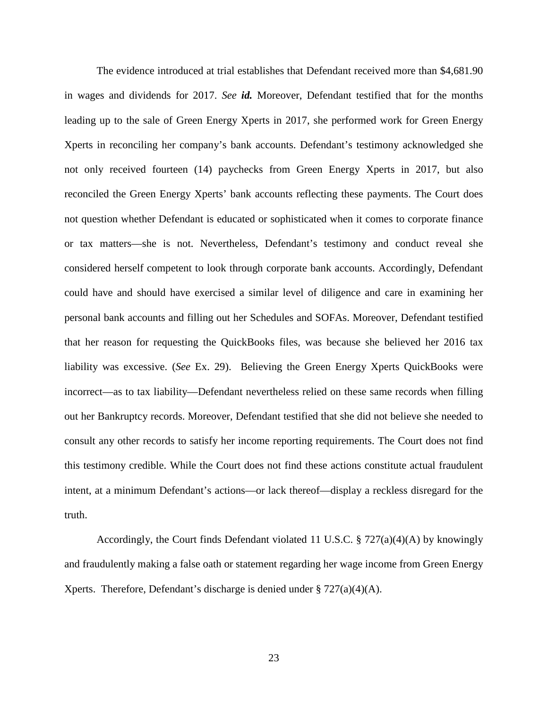The evidence introduced at trial establishes that Defendant received more than \$4,681.90 in wages and dividends for 2017. *See id.* Moreover, Defendant testified that for the months leading up to the sale of Green Energy Xperts in 2017, she performed work for Green Energy Xperts in reconciling her company's bank accounts. Defendant's testimony acknowledged she not only received fourteen (14) paychecks from Green Energy Xperts in 2017, but also reconciled the Green Energy Xperts' bank accounts reflecting these payments. The Court does not question whether Defendant is educated or sophisticated when it comes to corporate finance or tax matters—she is not. Nevertheless, Defendant's testimony and conduct reveal she considered herself competent to look through corporate bank accounts. Accordingly, Defendant could have and should have exercised a similar level of diligence and care in examining her personal bank accounts and filling out her Schedules and SOFAs. Moreover, Defendant testified that her reason for requesting the QuickBooks files, was because she believed her 2016 tax liability was excessive. (*See* Ex. 29). Believing the Green Energy Xperts QuickBooks were incorrect—as to tax liability—Defendant nevertheless relied on these same records when filling out her Bankruptcy records. Moreover, Defendant testified that she did not believe she needed to consult any other records to satisfy her income reporting requirements. The Court does not find this testimony credible. While the Court does not find these actions constitute actual fraudulent intent, at a minimum Defendant's actions—or lack thereof—display a reckless disregard for the truth.

Accordingly, the Court finds Defendant violated 11 U.S.C.  $\S 727(a)(4)(A)$  by knowingly and fraudulently making a false oath or statement regarding her wage income from Green Energy Xperts. Therefore, Defendant's discharge is denied under  $\S 727(a)(4)(A)$ .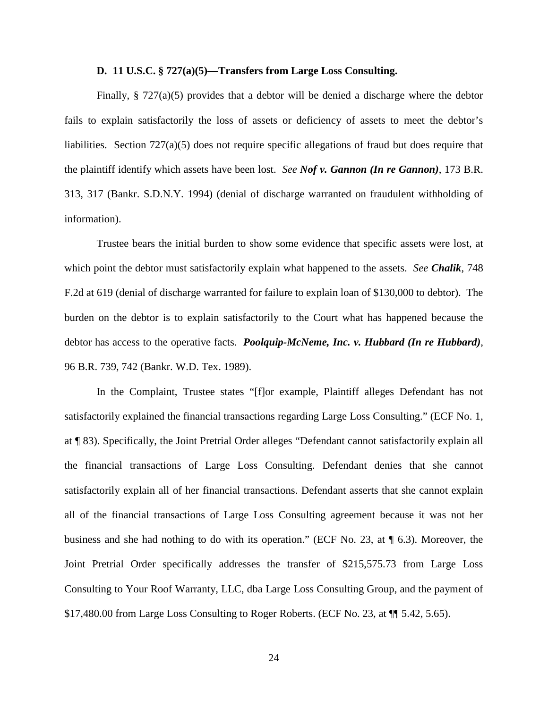### **D. 11 U.S.C. § 727(a)(5)—Transfers from Large Loss Consulting.**

Finally,  $\S 727(a)(5)$  provides that a debtor will be denied a discharge where the debtor fails to explain satisfactorily the loss of assets or deficiency of assets to meet the debtor's liabilities. Section 727(a)(5) does not require specific allegations of fraud but does require that the plaintiff identify which assets have been lost. *See Nof v. Gannon (In re Gannon)*, 173 B.R. 313, 317 (Bankr. S.D.N.Y. 1994) (denial of discharge warranted on fraudulent withholding of information).

Trustee bears the initial burden to show some evidence that specific assets were lost, at which point the debtor must satisfactorily explain what happened to the assets. *See Chalik*, 748 F.2d at 619 (denial of discharge warranted for failure to explain loan of \$130,000 to debtor). The burden on the debtor is to explain satisfactorily to the Court what has happened because the debtor has access to the operative facts. *Poolquip-McNeme, Inc. v. Hubbard (In re Hubbard)*, 96 B.R. 739, 742 (Bankr. W.D. Tex. 1989).

In the Complaint, Trustee states "[f]or example, Plaintiff alleges Defendant has not satisfactorily explained the financial transactions regarding Large Loss Consulting." (ECF No. 1, at ¶ 83). Specifically, the Joint Pretrial Order alleges "Defendant cannot satisfactorily explain all the financial transactions of Large Loss Consulting. Defendant denies that she cannot satisfactorily explain all of her financial transactions. Defendant asserts that she cannot explain all of the financial transactions of Large Loss Consulting agreement because it was not her business and she had nothing to do with its operation." (ECF No. 23, at ¶ 6.3). Moreover, the Joint Pretrial Order specifically addresses the transfer of \$215,575.73 from Large Loss Consulting to Your Roof Warranty, LLC, dba Large Loss Consulting Group, and the payment of \$17,480.00 from Large Loss Consulting to Roger Roberts. (ECF No. 23, at ¶¶ 5.42, 5.65).